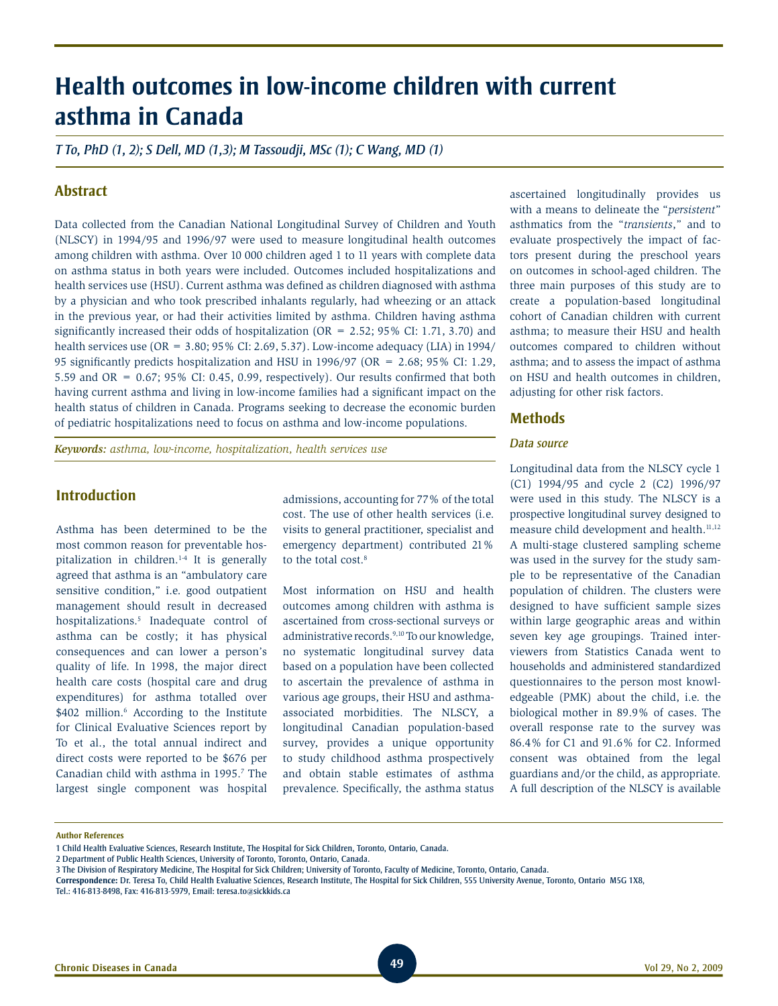# **Health outcomes in low-income children with current asthma in Canada**

*T To, PhD (1, 2); S Dell, MD (1,3); M Tassoudji, MSc (1); C Wang, MD (1)*

# **Abstract**

Data collected from the Canadian National Longitudinal Survey of Children and Youth (NLSCY) in 1994/95 and 1996/97 were used to measure longitudinal health outcomes among children with asthma. Over 10 000 children aged 1 to 11 years with complete data on asthma status in both years were included. Outcomes included hospitalizations and health services use (HSU). Current asthma was defined as children diagnosed with asthma by a physician and who took prescribed inhalants regularly, had wheezing or an attack in the previous year, or had their activities limited by asthma. Children having asthma significantly increased their odds of hospitalization (OR =  $2.52$ ; 95% CI: 1.71, 3.70) and health services use (OR = 3.80; 95% CI: 2.69, 5.37). Low-income adequacy (LIA) in 1994/ 95 significantly predicts hospitalization and HSU in 1996/97 (OR = 2.68; 95% CI: 1.29, 5.59 and OR = 0.67; 95% CI: 0.45, 0.99, respectively). Our results confirmed that both having current asthma and living in low-income families had a significant impact on the health status of children in Canada. Programs seeking to decrease the economic burden of pediatric hospitalizations need to focus on asthma and low-income populations.

*Keywords: asthma, low-income, hospitalization, health services use*

# **Introduction**

Asthma has been determined to be the most common reason for preventable hospitalization in children.1-4 It is generally agreed that asthma is an "ambulatory care sensitive condition," i.e. good outpatient management should result in decreased hospitalizations.5 Inadequate control of asthma can be costly; it has physical consequences and can lower a person's quality of life. In 1998, the major direct health care costs (hospital care and drug expenditures) for asthma totalled over \$402 million.<sup>6</sup> According to the Institute for Clinical Evaluative Sciences report by To et al., the total annual indirect and direct costs were reported to be \$676 per Canadian child with asthma in 1995.<sup>7</sup> The largest single component was hospital

admissions, accounting for 77% of the total cost. The use of other health services (i.e. visits to general practitioner, specialist and emergency department) contributed 21% to the total cost.<sup>8</sup>

Most information on HSU and health outcomes among children with asthma is ascertained from cross-sectional surveys or administrative records.<sup>9,10</sup> To our knowledge, no systematic longitudinal survey data based on a population have been collected to ascertain the prevalence of asthma in various age groups, their HSU and asthmaassociated morbidities. The NLSCY, a longitudinal Canadian population-based survey, provides a unique opportunity to study childhood asthma prospectively and obtain stable estimates of asthma prevalence. Specifically, the asthma status

ascertained longitudinally provides us with a means to delineate the "*persistent*" asthmatics from the "*transients*," and to evaluate prospectively the impact of factors present during the preschool years on outcomes in school-aged children. The three main purposes of this study are to create a population-based longitudinal cohort of Canadian children with current asthma; to measure their HSU and health outcomes compared to children without asthma; and to assess the impact of asthma on HSU and health outcomes in children, adjusting for other risk factors.

## **Methods**

#### *Data source*

Longitudinal data from the NLSCY cycle 1 (C1) 1994/95 and cycle 2 (C2) 1996/97 were used in this study. The NLSCY is a prospective longitudinal survey designed to measure child development and health.<sup>11,12</sup> A multi-stage clustered sampling scheme was used in the survey for the study sample to be representative of the Canadian population of children. The clusters were designed to have sufficient sample sizes within large geographic areas and within seven key age groupings. Trained interviewers from Statistics Canada went to households and administered standardized questionnaires to the person most knowledgeable (PMK) about the child, i.e. the biological mother in 89.9% of cases. The overall response rate to the survey was 86.4% for C1 and 91.6% for C2. Informed consent was obtained from the legal guardians and/or the child, as appropriate. A full description of the NLSCY is available

**Author References**

<sup>1</sup> Child Health Evaluative Sciences, Research Institute, The Hospital for Sick Children, Toronto, Ontario, Canada.

<sup>2</sup> Department of Public Health Sciences, University of Toronto, Toronto, Ontario, Canada.

<sup>3</sup> The Division of Respiratory Medicine, The Hospital for Sick Children; University of Toronto, Faculty of Medicine, Toronto, Ontario, Canada.

**Correspondence:** Dr. Teresa To, Child Health Evaluative Sciences, Research Institute, The Hospital for Sick Children, 555 University Avenue, Toronto, Ontario M5G 1X8,

Tel.: 416-813-8498, Fax: 416-813-5979, Email: teresa.to@sickkids.ca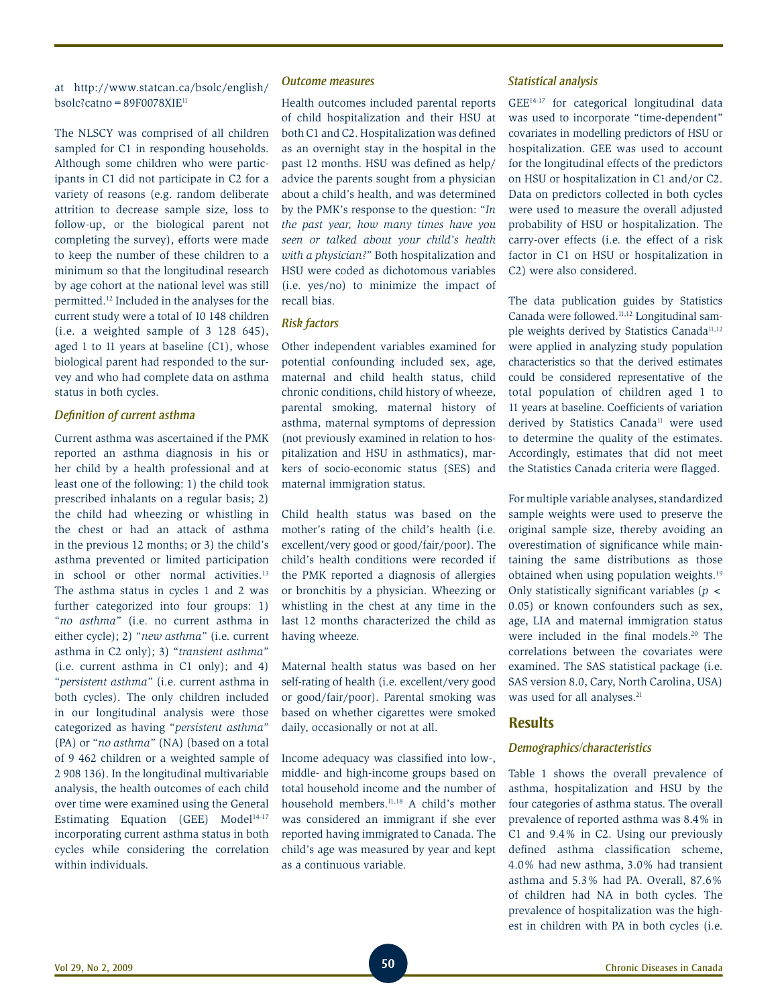at http://www.statcan.ca/bsolc/english/  $b$ solc?catno=89F0078XIE<sup>11</sup>

The NLSCY was comprised of all children sampled for C1 in responding households. Although some children who were participants in C1 did not participate in C2 for a variety of reasons (e.g. random deliberate attrition to decrease sample size, loss to follow-up, or the biological parent not completing the survey), efforts were made to keep the number of these children to a minimum so that the longitudinal research by age cohort at the national level was still permitted.12 Included in the analyses for the current study were a total of 10 148 children (i.e. a weighted sample of 3 128 645), aged 1 to 11 years at baseline (C1), whose biological parent had responded to the survey and who had complete data on asthma status in both cycles.

#### *Definition of current asthma*

Current asthma was ascertained if the PMK reported an asthma diagnosis in his or her child by a health professional and at least one of the following: 1) the child took prescribed inhalants on a regular basis; 2) the child had wheezing or whistling in the chest or had an attack of asthma in the previous 12 months; or 3) the child's asthma prevented or limited participation in school or other normal activities.<sup>13</sup> The asthma status in cycles 1 and 2 was further categorized into four groups: 1) "*no asthma*" (i.e. no current asthma in either cycle); 2) "*new asthma*" (i.e. current asthma in C2 only); 3) "*transient asthma*" (i.e. current asthma in C1 only); and 4) "*persistent asthma*" (i.e. current asthma in both cycles). The only children included in our longitudinal analysis were those categorized as having "*persistent asthma*" (PA) or "*no asthma*" (NA) (based on a total of 9 462 children or a weighted sample of 2 908 136). In the longitudinal multivariable analysis, the health outcomes of each child over time were examined using the General Estimating Equation (GEE)  $Model<sup>14-17</sup>$ incorporating current asthma status in both cycles while considering the correlation within individuals.

#### *Outcome measures*

Health outcomes included parental reports of child hospitalization and their HSU at both C1 and C2. Hospitalization was defined as an overnight stay in the hospital in the past 12 months. HSU was defined as help/ advice the parents sought from a physician about a child's health, and was determined by the PMK's response to the question: "*In the past year, how many times have you seen or talked about your child's health with a physician?*" Both hospitalization and HSU were coded as dichotomous variables (i.e. yes/no) to minimize the impact of recall bias.

## *Risk factors*

Other independent variables examined for potential confounding included sex, age, maternal and child health status, child chronic conditions, child history of wheeze, parental smoking, maternal history of asthma, maternal symptoms of depression (not previously examined in relation to hospitalization and HSU in asthmatics), markers of socio-economic status (SES) and maternal immigration status.

Child health status was based on the mother's rating of the child's health (i.e. excellent/very good or good/fair/poor). The child's health conditions were recorded if the PMK reported a diagnosis of allergies or bronchitis by a physician. Wheezing or whistling in the chest at any time in the last 12 months characterized the child as having wheeze.

Maternal health status was based on her self-rating of health (i.e. excellent/very good or good/fair/poor). Parental smoking was based on whether cigarettes were smoked daily, occasionally or not at all.

Income adequacy was classified into low-, middle- and high-income groups based on total household income and the number of household members.11,18 A child's mother was considered an immigrant if she ever reported having immigrated to Canada. The child's age was measured by year and kept as a continuous variable.

#### *Statistical analysis*

GEE14-17 for categorical longitudinal data was used to incorporate "time-dependent" covariates in modelling predictors of HSU or hospitalization. GEE was used to account for the longitudinal effects of the predictors on HSU or hospitalization in C1 and/or C2. Data on predictors collected in both cycles were used to measure the overall adjusted probability of HSU or hospitalization. The carry-over effects (i.e. the effect of a risk factor in C1 on HSU or hospitalization in C2) were also considered.

The data publication guides by Statistics Canada were followed.11,12 Longitudinal sample weights derived by Statistics Canada<sup>11,12</sup> were applied in analyzing study population characteristics so that the derived estimates could be considered representative of the total population of children aged 1 to 11 years at baseline. Coefficients of variation derived by Statistics Canada<sup>11</sup> were used to determine the quality of the estimates. Accordingly, estimates that did not meet the Statistics Canada criteria were flagged.

For multiple variable analyses, standardized sample weights were used to preserve the original sample size, thereby avoiding an overestimation of significance while maintaining the same distributions as those obtained when using population weights.19 Only statistically significant variables (*p* < 0.05) or known confounders such as sex, age, LIA and maternal immigration status were included in the final models.<sup>20</sup> The correlations between the covariates were examined. The SAS statistical package (i.e. SAS version 8.0, Cary, North Carolina, USA) was used for all analyses.<sup>21</sup>

# **Results**

## *Demographics/characteristics*

Table 1 shows the overall prevalence of asthma, hospitalization and HSU by the four categories of asthma status. The overall prevalence of reported asthma was 8.4% in C1 and 9.4% in C2. Using our previously defined asthma classification scheme, 4.0% had new asthma, 3.0% had transient asthma and 5.3% had PA. Overall, 87.6% of children had NA in both cycles. The prevalence of hospitalization was the highest in children with PA in both cycles (i.e.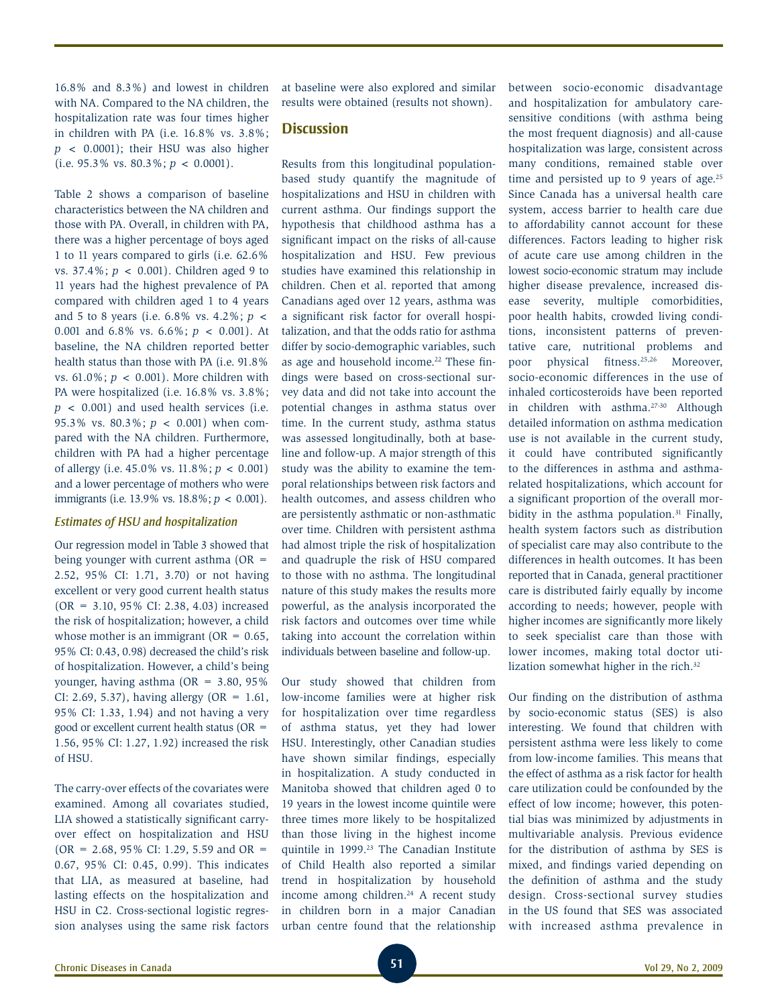16.8% and 8.3%) and lowest in children with NA. Compared to the NA children, the hospitalization rate was four times higher in children with PA (i.e. 16.8% vs. 3.8%;  $p \leq 0.0001$ ; their HSU was also higher (i.e.  $95.3\%$  vs.  $80.3\%$ ;  $p < 0.0001$ ).

Table 2 shows a comparison of baseline characteristics between the NA children and those with PA. Overall, in children with PA, there was a higher percentage of boys aged 1 to 11 years compared to girls (i.e. 62.6% vs. 37.4%; *p* < 0.001). Children aged 9 to 11 years had the highest prevalence of PA compared with children aged 1 to 4 years and 5 to 8 years (i.e. 6.8% vs. 4.2%; *p* < 0.001 and 6.8% vs. 6.6%; *p* < 0.001). At baseline, the NA children reported better health status than those with PA (i.e. 91.8% vs. 61.0%; *p* < 0.001). More children with PA were hospitalized (i.e. 16.8% vs. 3.8%; *p* < 0.001) and used health services (i.e. 95.3% vs. 80.3%; *p* < 0.001) when compared with the NA children. Furthermore, children with PA had a higher percentage of allergy (i.e. 45.0% vs. 11.8%; *p* < 0.001) and a lower percentage of mothers who were immigrants (i.e. 13.9% vs. 18.8%; *p* < 0.001).

#### *Estimates of HSU and hospitalization*

Our regression model in Table 3 showed that being younger with current asthma  $(OR =$ 2.52, 95% CI: 1.71, 3.70) or not having excellent or very good current health status (OR = 3.10, 95% CI: 2.38, 4.03) increased the risk of hospitalization; however, a child whose mother is an immigrant ( $OR = 0.65$ , 95% CI: 0.43, 0.98) decreased the child's risk of hospitalization. However, a child's being younger, having asthma (OR = 3.80, 95% CI: 2.69, 5.37), having allergy  $(OR = 1.61,$ 95% CI: 1.33, 1.94) and not having a very good or excellent current health status (OR = 1.56, 95% CI: 1.27, 1.92) increased the risk of HSU.

The carry-over effects of the covariates were examined. Among all covariates studied, LIA showed a statistically significant carryover effect on hospitalization and HSU  $(OR = 2.68, 95\% CI: 1.29, 5.59, and OR =$ 0.67, 95% CI: 0.45, 0.99). This indicates that LIA, as measured at baseline, had lasting effects on the hospitalization and HSU in C2. Cross-sectional logistic regression analyses using the same risk factors

at baseline were also explored and similar results were obtained (results not shown).

# **Discussion**

Results from this longitudinal populationbased study quantify the magnitude of hospitalizations and HSU in children with current asthma. Our findings support the hypothesis that childhood asthma has a significant impact on the risks of all-cause hospitalization and HSU. Few previous studies have examined this relationship in children. Chen et al. reported that among Canadians aged over 12 years, asthma was a significant risk factor for overall hospitalization, and that the odds ratio for asthma differ by socio-demographic variables, such as age and household income.<sup>22</sup> These findings were based on cross-sectional survey data and did not take into account the potential changes in asthma status over time. In the current study, asthma status was assessed longitudinally, both at baseline and follow-up. A major strength of this study was the ability to examine the temporal relationships between risk factors and health outcomes, and assess children who are persistently asthmatic or non-asthmatic over time. Children with persistent asthma had almost triple the risk of hospitalization and quadruple the risk of HSU compared to those with no asthma. The longitudinal nature of this study makes the results more powerful, as the analysis incorporated the risk factors and outcomes over time while taking into account the correlation within individuals between baseline and follow-up.

Our study showed that children from low-income families were at higher risk for hospitalization over time regardless of asthma status, yet they had lower HSU. Interestingly, other Canadian studies have shown similar findings, especially in hospitalization. A study conducted in Manitoba showed that children aged 0 to 19 years in the lowest income quintile were three times more likely to be hospitalized than those living in the highest income quintile in 1999.<sup>23</sup> The Canadian Institute of Child Health also reported a similar trend in hospitalization by household income among children. $24$  A recent study in children born in a major Canadian urban centre found that the relationship between socio-economic disadvantage and hospitalization for ambulatory caresensitive conditions (with asthma being the most frequent diagnosis) and all-cause hospitalization was large, consistent across many conditions, remained stable over time and persisted up to 9 years of age. $25$ Since Canada has a universal health care system, access barrier to health care due to affordability cannot account for these differences. Factors leading to higher risk of acute care use among children in the lowest socio-economic stratum may include higher disease prevalence, increased disease severity, multiple comorbidities, poor health habits, crowded living conditions, inconsistent patterns of preventative care, nutritional problems and poor physical fitness.<sup>25,26</sup> Moreover, socio-economic differences in the use of inhaled corticosteroids have been reported in children with asthma.<sup>27-30</sup> Although detailed information on asthma medication use is not available in the current study, it could have contributed significantly to the differences in asthma and asthmarelated hospitalizations, which account for a significant proportion of the overall morbidity in the asthma population. $31$  Finally, health system factors such as distribution of specialist care may also contribute to the differences in health outcomes. It has been reported that in Canada, general practitioner care is distributed fairly equally by income according to needs; however, people with higher incomes are significantly more likely to seek specialist care than those with lower incomes, making total doctor utilization somewhat higher in the rich.<sup>32</sup>

Our finding on the distribution of asthma by socio-economic status (SES) is also interesting. We found that children with persistent asthma were less likely to come from low-income families. This means that the effect of asthma as a risk factor for health care utilization could be confounded by the effect of low income; however, this potential bias was minimized by adjustments in multivariable analysis. Previous evidence for the distribution of asthma by SES is mixed, and findings varied depending on the definition of asthma and the study design. Cross-sectional survey studies in the US found that SES was associated with increased asthma prevalence in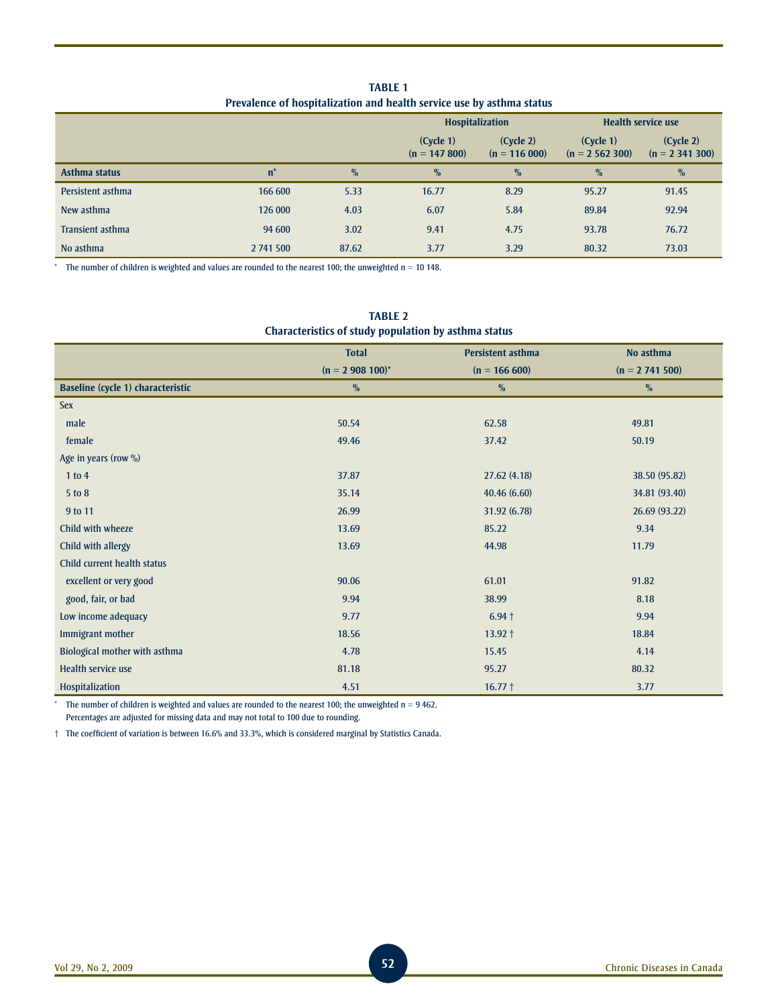**Table 1 Prevalence of hospitalization and health service use by asthma status**

|                   |                |               |                              | <b>Hospitalization</b>      |                              | <b>Health service use</b>    |
|-------------------|----------------|---------------|------------------------------|-----------------------------|------------------------------|------------------------------|
|                   |                |               | (Cycle 1)<br>$(n = 147 800)$ | (Cycle 2)<br>$(n = 116000)$ | (Cycle 1)<br>$(n = 2562300)$ | (Cycle 2)<br>$(n = 2341300)$ |
| Asthma status     | $\mathbf{n}^*$ | $\frac{0}{0}$ | $\%$                         | $\%$                        | $\frac{0}{0}$                | $\%$                         |
| Persistent asthma | 166 600        | 5.33          | 16.77                        | 8.29                        | 95.27                        | 91.45                        |
| New asthma        | 126 000        | 4.03          | 6.07                         | 5.84                        | 89.84                        | 92.94                        |
| Transient asthma  | 94 600         | 3.02          | 9.41                         | 4.75                        | 93.78                        | 76.72                        |
| No asthma         | 2 741 500      | 87.62         | 3.77                         | 3.29                        | 80.32                        | 73.03                        |

 $*$  The number of children is weighted and values are rounded to the nearest 100; the unweighted n = 10 148.

| Characteristics of study population by asthma status |                   |                          |                   |  |  |  |  |
|------------------------------------------------------|-------------------|--------------------------|-------------------|--|--|--|--|
|                                                      | <b>Total</b>      | <b>Persistent asthma</b> | No asthma         |  |  |  |  |
|                                                      | $(n = 2908100)^*$ | $(n = 166 600)$          | $(n = 2 741 500)$ |  |  |  |  |
| <b>Baseline (cycle 1) characteristic</b>             | $\%$              | $\%$                     | $\%$              |  |  |  |  |
| <b>Sex</b>                                           |                   |                          |                   |  |  |  |  |
| male                                                 | 50.54             | 62.58                    | 49.81             |  |  |  |  |
| female                                               | 49.46             | 37.42                    | 50.19             |  |  |  |  |
| Age in years (row %)                                 |                   |                          |                   |  |  |  |  |
| 1 to 4                                               | 37.87             | 27.62(4.18)              | 38.50 (95.82)     |  |  |  |  |
| 5 to 8                                               | 35.14             | 40.46(6.60)              | 34.81 (93.40)     |  |  |  |  |
| 9 to 11                                              | 26.99             | 31.92 (6.78)             | 26.69 (93.22)     |  |  |  |  |
| Child with wheeze                                    | 13.69             | 85.22                    | 9.34              |  |  |  |  |
| Child with allergy                                   | 13.69             | 44.98                    | 11.79             |  |  |  |  |
| Child current health status                          |                   |                          |                   |  |  |  |  |
| excellent or very good                               | 90.06             | 61.01                    | 91.82             |  |  |  |  |
| good, fair, or bad                                   | 9.94              | 38.99                    | 8.18              |  |  |  |  |
| Low income adequacy                                  | 9.77              | $6.94 +$                 | 9.94              |  |  |  |  |
| Immigrant mother                                     | 18.56             | $13.92 +$                | 18.84             |  |  |  |  |
| Biological mother with asthma                        | 4.78              | 15.45                    | 4.14              |  |  |  |  |
| Health service use                                   | 81.18             | 95.27                    | 80.32             |  |  |  |  |
| Hospitalization                                      | 4.51              | $16.77 +$                | 3.77              |  |  |  |  |

**Table 2** 

The number of children is weighted and values are rounded to the nearest 100; the unweighted n = 9 462. Percentages are adjusted for missing data and may not total to 100 due to rounding.

† The coefficient of variation is between 16.6% and 33.3%, which is considered marginal by Statistics Canada.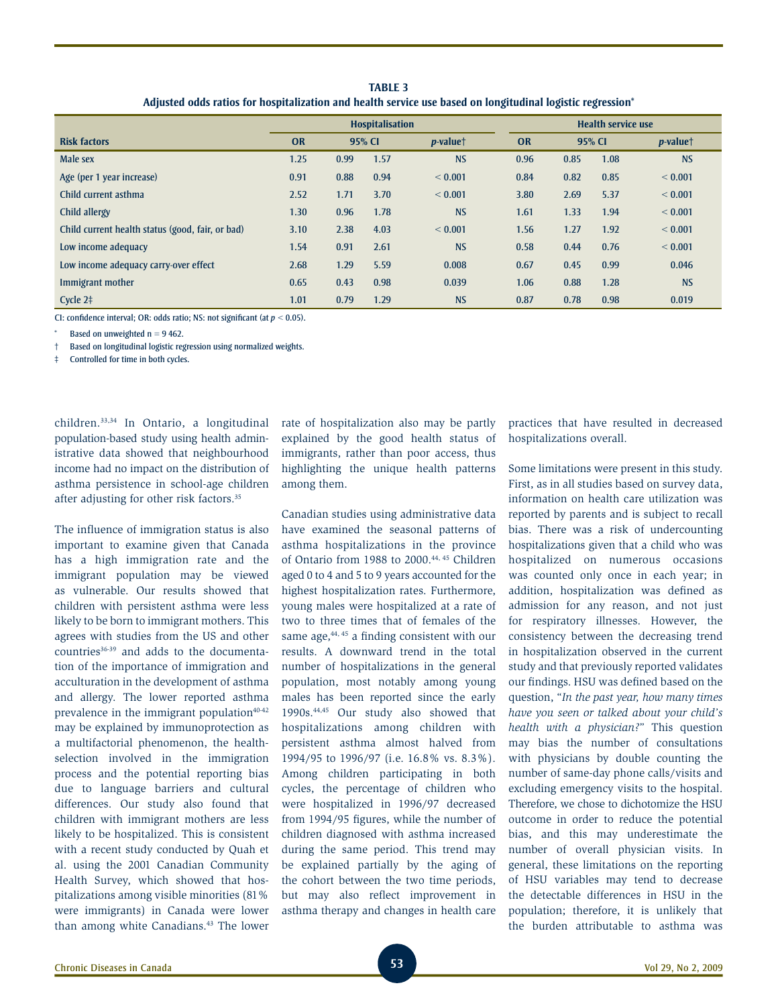| <u>Aujusteu vuus tattus tui huspitalizativii allu healtii selvite use vaseu vii luhgituumai lugistit tegi essivil</u> |                        |        |      |                      |                           |        |      |                      |  |
|-----------------------------------------------------------------------------------------------------------------------|------------------------|--------|------|----------------------|---------------------------|--------|------|----------------------|--|
|                                                                                                                       | <b>Hospitalisation</b> |        |      |                      | <b>Health service use</b> |        |      |                      |  |
| <b>Risk factors</b>                                                                                                   | <b>OR</b>              | 95% CI |      | $p$ -value $\dagger$ | <b>OR</b>                 | 95% CI |      | $p$ -value $\dagger$ |  |
| Male sex                                                                                                              | 1.25                   | 0.99   | 1.57 | <b>NS</b>            | 0.96                      | 0.85   | 1.08 | <b>NS</b>            |  |
| Age (per 1 year increase)                                                                                             | 0.91                   | 0.88   | 0.94 | < 0.001              | 0.84                      | 0.82   | 0.85 | < 0.001              |  |
| Child current asthma                                                                                                  | 2.52                   | 1.71   | 3.70 | < 0.001              | 3.80                      | 2.69   | 5.37 | < 0.001              |  |
| Child allergy                                                                                                         | 1.30                   | 0.96   | 1.78 | <b>NS</b>            | 1.61                      | 1.33   | 1.94 | < 0.001              |  |
| Child current health status (good, fair, or bad)                                                                      | 3.10                   | 2.38   | 4.03 | < 0.001              | 1.56                      | 1.27   | 1.92 | < 0.001              |  |
| Low income adequacy                                                                                                   | 1.54                   | 0.91   | 2.61 | <b>NS</b>            | 0.58                      | 0.44   | 0.76 | < 0.001              |  |
| Low income adequacy carry-over effect                                                                                 | 2.68                   | 1.29   | 5.59 | 0.008                | 0.67                      | 0.45   | 0.99 | 0.046                |  |
| Immigrant mother                                                                                                      | 0.65                   | 0.43   | 0.98 | 0.039                | 1.06                      | 0.88   | 1.28 | <b>NS</b>            |  |
| Cycle $2†$                                                                                                            | 1.01                   | 0.79   | 1.29 | <b>NS</b>            | 0.87                      | 0.78   | 0.98 | 0.019                |  |

**Table 3 Adjusted odds ratios for hospitalization and health service use based on longitudinal logistic regression\***

CI: confidence interval; OR: odds ratio; NS: not significant (at *p* < 0.05).

Based on unweighted  $n = 9$  462.

† Based on longitudinal logistic regression using normalized weights.

‡ Controlled for time in both cycles.

children.33,34 In Ontario, a longitudinal population-based study using health administrative data showed that neighbourhood income had no impact on the distribution of asthma persistence in school-age children after adjusting for other risk factors.35

The influence of immigration status is also important to examine given that Canada has a high immigration rate and the immigrant population may be viewed as vulnerable. Our results showed that children with persistent asthma were less likely to be born to immigrant mothers. This agrees with studies from the US and other countries<sup>36-39</sup> and adds to the documentation of the importance of immigration and acculturation in the development of asthma and allergy. The lower reported asthma prevalence in the immigrant population<sup>40-42</sup> may be explained by immunoprotection as a multifactorial phenomenon, the healthselection involved in the immigration process and the potential reporting bias due to language barriers and cultural differences. Our study also found that children with immigrant mothers are less likely to be hospitalized. This is consistent with a recent study conducted by Quah et al. using the 2001 Canadian Community Health Survey, which showed that hospitalizations among visible minorities (81% were immigrants) in Canada were lower than among white Canadians.<sup>43</sup> The lower

rate of hospitalization also may be partly explained by the good health status of immigrants, rather than poor access, thus highlighting the unique health patterns among them.

Canadian studies using administrative data have examined the seasonal patterns of asthma hospitalizations in the province of Ontario from 1988 to 2000.44, 45 Children aged 0 to 4 and 5 to 9 years accounted for the highest hospitalization rates. Furthermore, young males were hospitalized at a rate of two to three times that of females of the same age,  $44, 45$  a finding consistent with our results. A downward trend in the total number of hospitalizations in the general population, most notably among young males has been reported since the early 1990s.44,45 Our study also showed that hospitalizations among children with persistent asthma almost halved from 1994/95 to 1996/97 (i.e. 16.8% vs. 8.3%). Among children participating in both cycles, the percentage of children who were hospitalized in 1996/97 decreased from 1994/95 figures, while the number of children diagnosed with asthma increased during the same period. This trend may be explained partially by the aging of the cohort between the two time periods, but may also reflect improvement in asthma therapy and changes in health care practices that have resulted in decreased hospitalizations overall.

Some limitations were present in this study. First, as in all studies based on survey data, information on health care utilization was reported by parents and is subject to recall bias. There was a risk of undercounting hospitalizations given that a child who was hospitalized on numerous occasions was counted only once in each year; in addition, hospitalization was defined as admission for any reason, and not just for respiratory illnesses. However, the consistency between the decreasing trend in hospitalization observed in the current study and that previously reported validates our findings. HSU was defined based on the question, "*In the past year, how many times have you seen or talked about your child's health with a physician?*" This question may bias the number of consultations with physicians by double counting the number of same-day phone calls/visits and excluding emergency visits to the hospital. Therefore, we chose to dichotomize the HSU outcome in order to reduce the potential bias, and this may underestimate the number of overall physician visits. In general, these limitations on the reporting of HSU variables may tend to decrease the detectable differences in HSU in the population; therefore, it is unlikely that the burden attributable to asthma was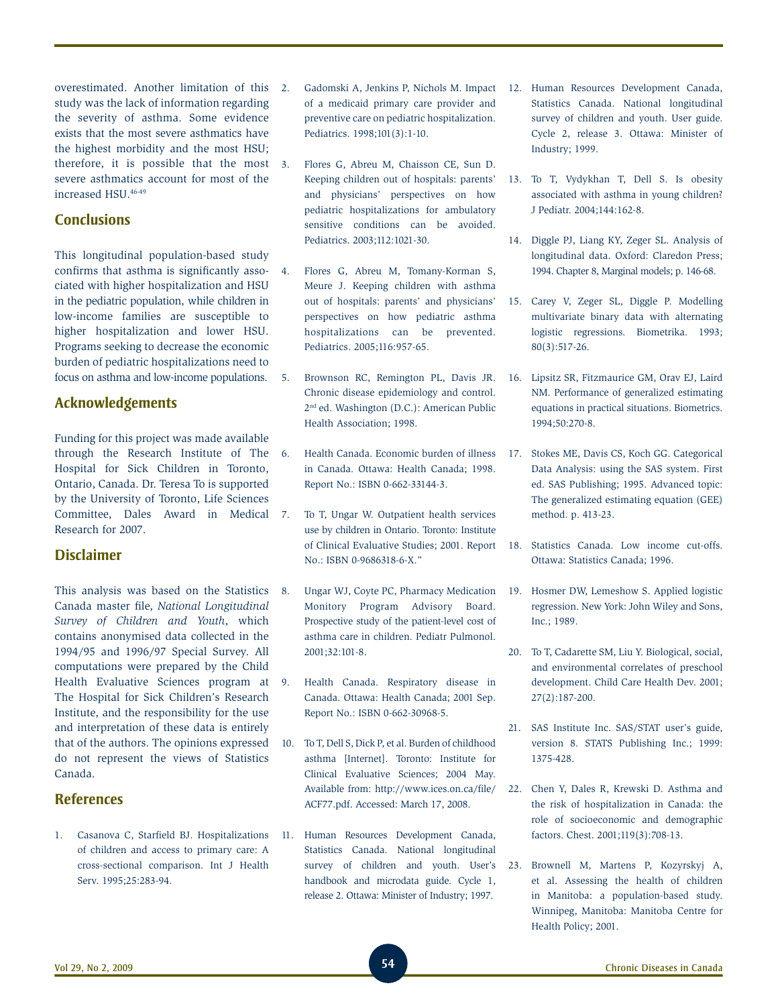overestimated. Another limitation of this study was the lack of information regarding the severity of asthma. Some evidence exists that the most severe asthmatics have the highest morbidity and the most HSU; therefore, it is possible that the most severe asthmatics account for most of the increased HSU.46-49

# **Conclusions**

This longitudinal population-based study confirms that asthma is significantly associated with higher hospitalization and HSU in the pediatric population, while children in low-income families are susceptible to higher hospitalization and lower HSU. Programs seeking to decrease the economic burden of pediatric hospitalizations need to focus on asthma and low-income populations.

## **Acknowledgements**

Funding for this project was made available through the Research Institute of The Hospital for Sick Children in Toronto, Ontario, Canada. Dr. Teresa To is supported by the University of Toronto, Life Sciences Committee, Dales Award in Medical Research for 2007.

## **Disclaimer**

This analysis was based on the Statistics Canada master file, *National Longitudinal Survey of Children and Youth*, which contains anonymised data collected in the 1994/95 and 1996/97 Special Survey. All computations were prepared by the Child Health Evaluative Sciences program at The Hospital for Sick Children's Research Institute, and the responsibility for the use and interpretation of these data is entirely that of the authors. The opinions expressed do not represent the views of Statistics Canada.

## **References**

1. Casanova C, Starfield BJ. Hospitalizations of children and access to primary care: A cross-sectional comparison. Int J Health Serv. 1995;25:283-94.

- 2. Gadomski A, Jenkins P, Nichols M. Impact of a medicaid primary care provider and preventive care on pediatric hospitalization. Pediatrics. 1998;101(3):1-10.
- 3. Flores G, Abreu M, Chaisson CE, Sun D. Keeping children out of hospitals: parents' and physicians' perspectives on how pediatric hospitalizations for ambulatory sensitive conditions can be avoided. Pediatrics. 2003;112:1021-30.
- 4. Flores G, Abreu M, Tomany-Korman S, Meure J. Keeping children with asthma out of hospitals: parents' and physicians' perspectives on how pediatric asthma hospitalizations can be prevented. Pediatrics. 2005;116:957-65.
- 5. Brownson RC, Remington PL, Davis JR. Chronic disease epidemiology and control. 2nd ed. Washington (D.C.): American Public Health Association; 1998.
- 6. Health Canada. Economic burden of illness in Canada. Ottawa: Health Canada; 1998. Report No.: ISBN 0-662-33144-3.
- To T, Ungar W. Outpatient health services use by children in Ontario. Toronto: Institute of Clinical Evaluative Studies; 2001. Report No.: ISBN 0-9686318-6-X."
- 8. Ungar WJ, Coyte PC, Pharmacy Medication Monitory Program Advisory Board. Prospective study of the patient-level cost of asthma care in children. Pediatr Pulmonol. 2001;32:101-8.
- 9. Health Canada. Respiratory disease in Canada. Ottawa: Health Canada; 2001 Sep. Report No.: ISBN 0-662-30968-5.
- 10. To T, Dell S, Dick P, et al. Burden of childhood asthma [Internet]. Toronto: Institute for Clinical Evaluative Sciences; 2004 May. Available from: http://www.ices.on.ca/file/ ACF77.pdf. Accessed: March 17, 2008.
- 11. Human Resources Development Canada, Statistics Canada. National longitudinal survey of children and youth. User's handbook and microdata guide. Cycle 1, release 2. Ottawa: Minister of Industry; 1997.
- 12. Human Resources Development Canada, Statistics Canada. National longitudinal survey of children and youth. User guide. Cycle 2, release 3. Ottawa: Minister of Industry; 1999.
- 13. To T, Vydykhan T, Dell S. Is obesity associated with asthma in young children? J Pediatr. 2004;144:162-8.
- 14. Diggle PJ, Liang KY, Zeger SL. Analysis of longitudinal data. Oxford: Claredon Press; 1994. Chapter 8, Marginal models; p. 146-68.
- 15. Carey V, Zeger SL, Diggle P. Modelling multivariate binary data with alternating logistic regressions. Biometrika. 1993; 80(3):517-26.
- 16. Lipsitz SR, Fitzmaurice GM, Orav EJ, Laird NM. Performance of generalized estimating equations in practical situations. Biometrics. 1994;50:270-8.
- 17. Stokes ME, Davis CS, Koch GG. Categorical Data Analysis: using the SAS system. First ed. SAS Publishing; 1995. Advanced topic: The generalized estimating equation (GEE) method. p. 413-23.
- 18. Statistics Canada. Low income cut-offs. Ottawa: Statistics Canada; 1996.
- 19. Hosmer DW, Lemeshow S. Applied logistic regression. New York: John Wiley and Sons, Inc.; 1989.
- 20. To T, Cadarette SM, Liu Y. Biological, social, and environmental correlates of preschool development. Child Care Health Dev. 2001; 27(2):187-200.
- 21. SAS Institute Inc. SAS/STAT user's guide, version 8. STATS Publishing Inc.; 1999: 1375-428.
- 22. Chen Y, Dales R, Krewski D. Asthma and the risk of hospitalization in Canada: the role of socioeconomic and demographic factors. Chest. 2001;119(3):708-13.
- 23. Brownell M, Martens P, Kozyrskyj A, et al. Assessing the health of children in Manitoba: a population-based study. Winnipeg, Manitoba: Manitoba Centre for Health Policy; 2001.